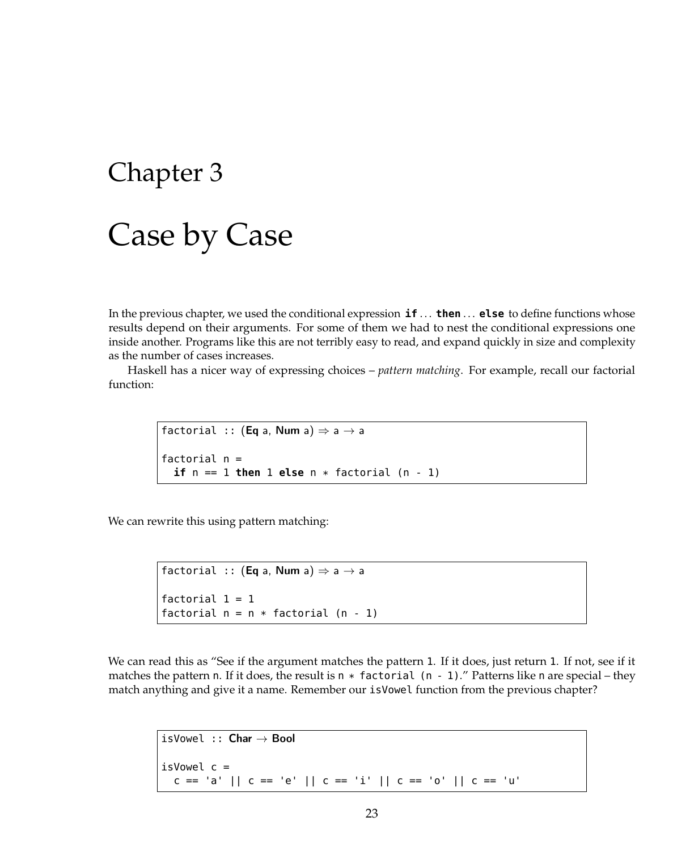## Chapter 3

## Case by Case

In the previous chapter, we used the conditional expression **if** . . . **then** . . . **else** to define functions whose results depend on their arguments. For some of them we had to nest the conditional expressions one inside another. Programs like this are not terribly easy to read, and expand quickly in size and complexity as the number of cases increases.

Haskell has a nicer way of expressing choices – *pattern matching*. For example, recall our factorial function:

factorial :: (Eq a, Num a)  $\Rightarrow$  a  $\rightarrow$  a factorial n = **if**  $n == 1$  **then** 1 **else**  $n *$  factorial  $(n - 1)$ 

We can rewrite this using pattern matching:

factorial :: (Eq a, Num a)  $\Rightarrow$  a  $\rightarrow$  a factorial  $1 = 1$ factorial  $n = n *$  factorial ( $n - 1$ )

We can read this as "See if the argument matches the pattern 1. If it does, just return 1. If not, see if it matches the pattern n. If it does, the result is  $n *$  factorial (n - 1)." Patterns like n are special – they match anything and give it a name. Remember our isVowel function from the previous chapter?

```
isVowel :: Char → Bool
isVowel c =
 c == 'a' || c == 'e' || c == 'i' || c == 'o' || c == 'u'
```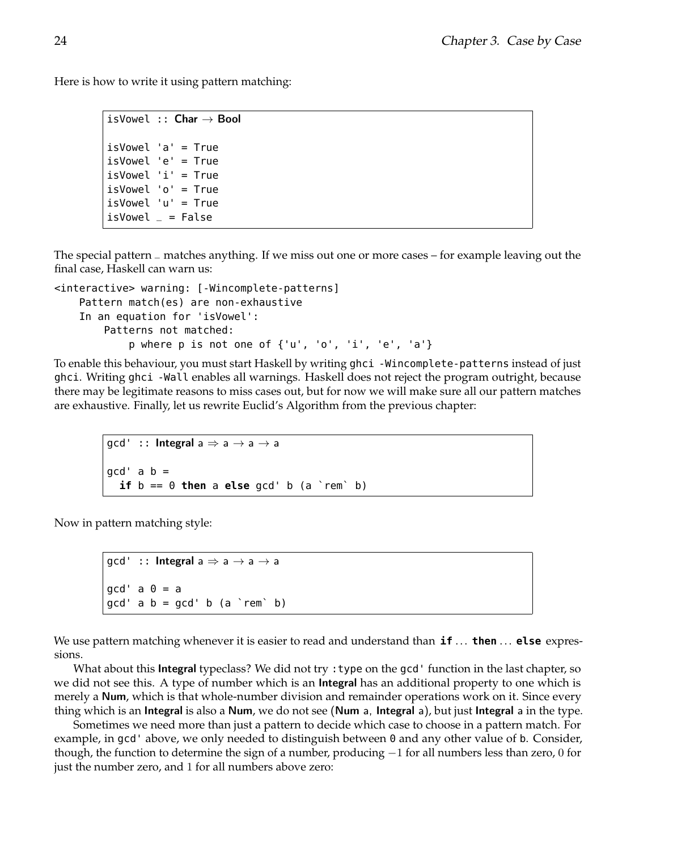Here is how to write it using pattern matching:

isVowel  $::$  Char  $\rightarrow$  Bool isVowel 'a' = True isVowel 'e' = True isVowel 'i' = True isVowel 'o' = True isVowel 'u' = True isVowel  $=$  = False

The special pattern \_ matches anything. If we miss out one or more cases – for example leaving out the final case, Haskell can warn us:

```
<interactive> warning: [-Wincomplete-patterns]
    Pattern match(es) are non-exhaustive
   In an equation for 'isVowel':
        Patterns not matched:
            p where p is not one of \{ 'u', 'o', 'i', 'e', 'a' \}
```
To enable this behaviour, you must start Haskell by writing ghci -Wincomplete-patterns instead of just ghci. Writing ghci -Wall enables all warnings. Haskell does not reject the program outright, because there may be legitimate reasons to miss cases out, but for now we will make sure all our pattern matches are exhaustive. Finally, let us rewrite Euclid's Algorithm from the previous chapter:

qcd' :: Integral  $a \Rightarrow a \rightarrow a \rightarrow a$  $gcd'$  a  $b =$ **if**  $b == 0$  **then** a **else** gcd'  $b$  (a `rem`  $b$ )

Now in pattern matching style:

 $gcd'$  :: **Integral**  $a \Rightarrow a \rightarrow a \rightarrow a$  $gcd'$  a  $\theta$  = a  $qcd'$  a  $b = qcd'$  b  $(a \text{ 'rem' } b)$ 

We use pattern matching whenever it is easier to read and understand than **if** ... **then** ... **else** expressions.

What about this **Integral** typeclass? We did not try : type on the gcd  $\mathbf{r}$  function in the last chapter, so we did not see this. A type of number which is an **Integral** has an additional property to one which is merely a Num, which is that whole-number division and remainder operations work on it. Since every thing which is an Integral is also a Num, we do not see (Num a, Integral a), but just Integral a in the type.

Sometimes we need more than just a pattern to decide which case to choose in a pattern match. For example, in gcd' above, we only needed to distinguish between 0 and any other value of b. Consider, though, the function to determine the sign of a number, producing −1 for all numbers less than zero, 0 for just the number zero, and 1 for all numbers above zero: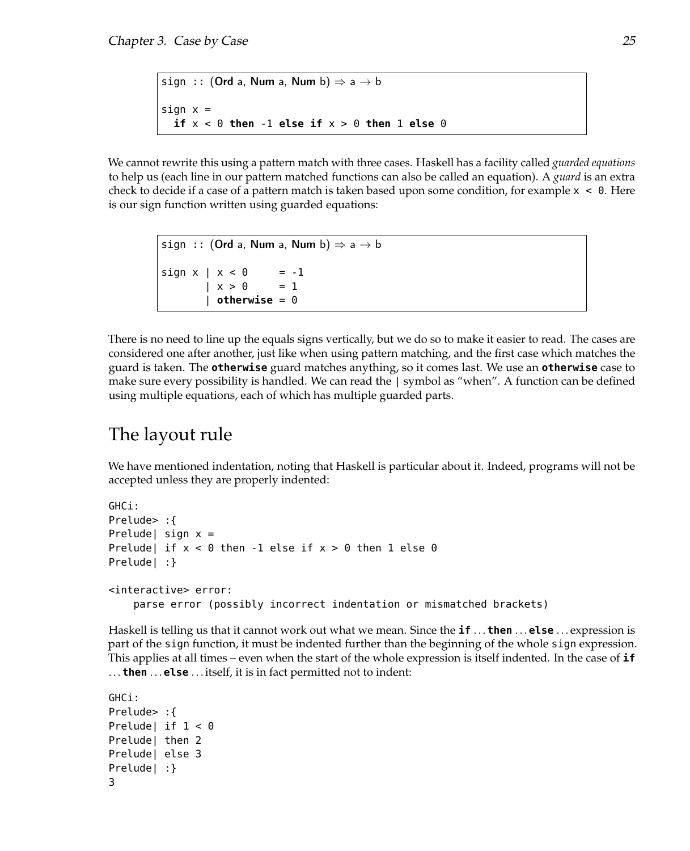```
sign :: (Ord a, Num a, Num b) \Rightarrow a \rightarrow b
sign x =if x < 0 then -1 else if x > 0 then 1 else 0
```
We cannot rewrite this using a pattern match with three cases. Haskell has a facility called *guarded equations* to help us (each line in our pattern matched functions can also be called an equation). A *guard* is an extra check to decide if a case of a pattern match is taken based upon some condition, for example  $x < 0$ . Here is our sign function written using guarded equations:

```
sign :: (Ord a, Num a, Num b) \Rightarrow a \rightarrow b
sign x \mid x < \theta = -1| x > 0 = 1| otherwise = \theta
```
There is no need to line up the equals signs vertically, but we do so to make it easier to read. The cases are considered one after another, just like when using pattern matching, and the first case which matches the guard is taken. The **otherwise** guard matches anything, so it comes last. We use an **otherwise** case to make sure every possibility is handled. We can read the | symbol as "when". A function can be defined using multiple equations, each of which has multiple guarded parts.

## The layout rule

We have mentioned indentation, noting that Haskell is particular about it. Indeed, programs will not be accepted unless they are properly indented:

```
GHCi:
Prelude> :{
Prelude| sign x =Prelude| if x < 0 then -1 else if x > 0 then 1 else 0
Prelude| :}
<interactive> error:
    parse error (possibly incorrect indentation or mismatched brackets)
```
Haskell is telling us that it cannot work out what we mean. Since the **if** . . . **then** . . . **else** . . . expression is part of the sign function, it must be indented further than the beginning of the whole sign expression. This applies at all times – even when the start of the whole expression is itself indented. In the case of **if** . . . **then** . . . **else** . . . itself, it is in fact permitted not to indent:

```
GHCi:
Prelude> :{
Prelude| if 1 < 0Prelude| then 2
Prelude| else 3
Prelude| :}
3
```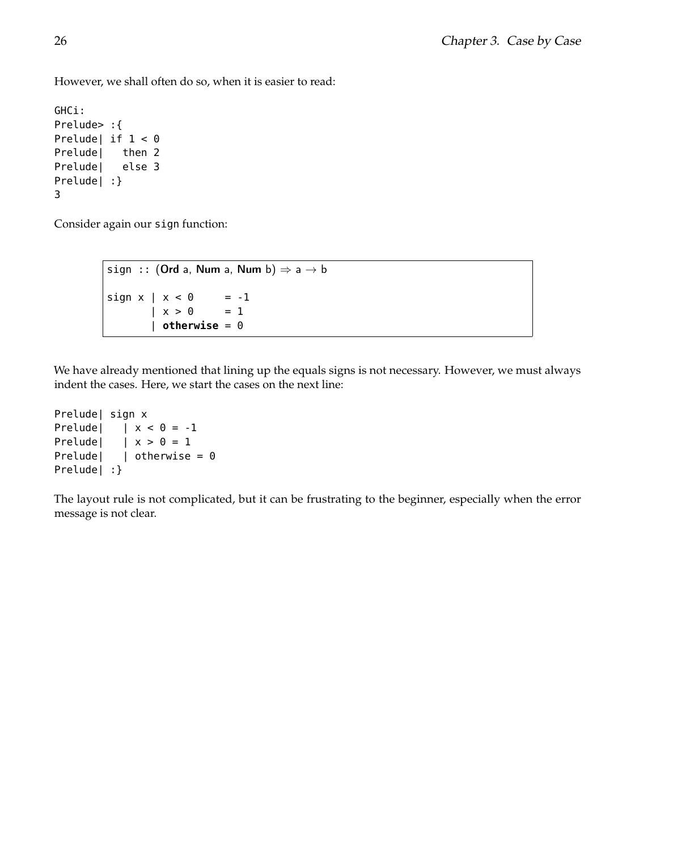However, we shall often do so, when it is easier to read:

```
GHCi:
Prelude> :{
Prelude| if 1 < 0Prelude| then 2
Prelude| else 3
Prelude| :}
3
```
Consider again our sign function:

sign :: (Ord a, Num a, Num b)  $\Rightarrow$  a  $\rightarrow$  b sign  $x \mid x < \theta = -1$  $| x > 0 = 1$ | **otherwise** = 0

We have already mentioned that lining up the equals signs is not necessary. However, we must always indent the cases. Here, we start the cases on the next line:

```
Prelude| sign x
Prelude \vert x \vert < \theta = -1Prelude | x > 0 = 1Prelude | otherwise = 0
Prelude| :}
```
The layout rule is not complicated, but it can be frustrating to the beginner, especially when the error message is not clear.